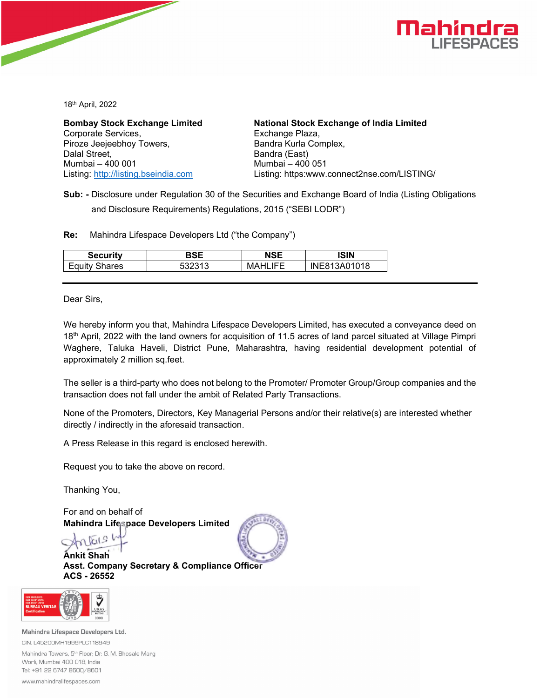

18th April, 2022

Corporate Services, Exchange Plaza, Piroze Jeejeebhoy Towers, Bandra Kurla Complex, Dalal Street, **Bandra (East)** Mumbai – 400 001 Mumbai – 400 051

**Bombay Stock Exchange Limited National Stock Exchange of India Limited**  Listing: http://listing.bseindia.com Listing: https:www.connect2nse.com/LISTING/

**Sub: -** Disclosure under Regulation 30 of the Securities and Exchange Board of India (Listing Obligations and Disclosure Requirements) Regulations, 2015 ("SEBI LODR")

**Re:** Mahindra Lifespace Developers Ltd ("the Company")

| Securitv | DQC  | NSE  | ISIN    |
|----------|------|------|---------|
| Shares   | 2313 | HEL. | 3A01018 |
| Equity   |      | MAHI | INE8    |

Dear Sirs,

We hereby inform you that, Mahindra Lifespace Developers Limited, has executed a conveyance deed on 18<sup>th</sup> April, 2022 with the land owners for acquisition of 11.5 acres of land parcel situated at Village Pimpri Waghere, Taluka Haveli, District Pune, Maharashtra, having residential development potential of approximately 2 million sq.feet.

The seller is a third-party who does not belong to the Promoter/ Promoter Group/Group companies and the transaction does not fall under the ambit of Related Party Transactions.

None of the Promoters, Directors, Key Managerial Persons and/or their relative(s) are interested whether directly / indirectly in the aforesaid transaction.

A Press Release in this regard is enclosed herewith.

Request you to take the above on record.

Thanking You,

For and on behalf of **Mahindra Lifespace Developers Limited** 

**Ankit Shah Asst. Company Secretary & Compliance Officer ACS - 26552** 



www.mahindralifespaces.com

Mahindra Lifespace Developers Ltd. CIN: L45200MH1999PLC118949 Mahindra Towers, 5<sup>th</sup> Floor, Dr. G. M. Bhosale Marg

Worli, Mumbai 400 018, India Tel: +91 22 6747 8600/8601

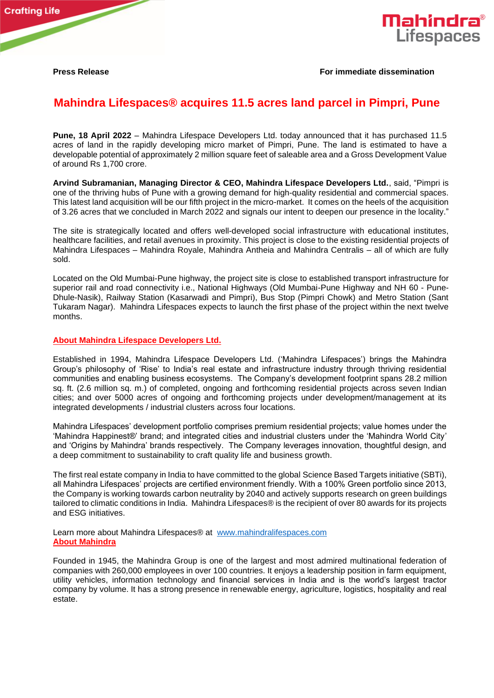

## **Press Release For immediate dissemination**

## **Mahindra Lifespaces® acquires 11.5 acres land parcel in Pimpri, Pune**

**Pune, 18 April 2022** – Mahindra Lifespace Developers Ltd. today announced that it has purchased 11.5 acres of land in the rapidly developing micro market of Pimpri, Pune. The land is estimated to have a developable potential of approximately 2 million square feet of saleable area and a Gross Development Value of around Rs 1,700 crore.

**Arvind Subramanian, Managing Director & CEO, Mahindra Lifespace Developers Ltd.**, said, "Pimpri is one of the thriving hubs of Pune with a growing demand for high-quality residential and commercial spaces. This latest land acquisition will be our fifth project in the micro-market. It comes on the heels of the acquisition of 3.26 acres that we concluded in March 2022 and signals our intent to deepen our presence in the locality."

The site is strategically located and offers well-developed social infrastructure with educational institutes, healthcare facilities, and retail avenues in proximity. This project is close to the existing residential projects of Mahindra Lifespaces – Mahindra Royale, Mahindra Antheia and Mahindra Centralis – all of which are fully sold.

Located on the Old Mumbai-Pune highway, the project site is close to established transport infrastructure for superior rail and road connectivity i.e., National Highways (Old Mumbai-Pune Highway and NH 60 - Pune-Dhule-Nasik), Railway Station (Kasarwadi and Pimpri), Bus Stop (Pimpri Chowk) and Metro Station (Sant Tukaram Nagar). Mahindra Lifespaces expects to launch the first phase of the project within the next twelve months.

## **About Mahindra Lifespace Developers Ltd.**

Established in 1994, Mahindra Lifespace Developers Ltd. ('Mahindra Lifespaces') brings the Mahindra Group's philosophy of 'Rise' to India's real estate and infrastructure industry through thriving residential communities and enabling business ecosystems. The Company's development footprint spans 28.2 million sq. ft. (2.6 million sq. m.) of completed, ongoing and forthcoming residential projects across seven Indian cities; and over 5000 acres of ongoing and forthcoming projects under development/management at its integrated developments / industrial clusters across four locations.

Mahindra Lifespaces' development portfolio comprises premium residential projects; value homes under the 'Mahindra Happinest®' brand; and integrated cities and industrial clusters under the 'Mahindra World City' and 'Origins by Mahindra' brands respectively. The Company leverages innovation, thoughtful design, and a deep commitment to sustainability to craft quality life and business growth.

The first real estate company in India to have committed to the global Science Based Targets initiative (SBTi), all Mahindra Lifespaces' projects are certified environment friendly. With a 100% Green portfolio since 2013, the Company is working towards carbon neutrality by 2040 and actively supports research on green buildings tailored to climatic conditions in India. Mahindra Lifespaces® is the recipient of over 80 awards for its projects and ESG initiatives.

Learn more about Mahindra Lifespaces® at [www.mahindralifespaces.com](https://secure-web.cisco.com/1JbF72IM6o5BQbSsn2UvN2-CDwf-9rOq5YefrbcLqpGmHNdA_DjJhacJZEp8xpAneqlon262GLsASig5cbyYwXDEJOAiP7K0CV04IDUmVkzf6V798ZHfKMy6WRQdi9A2-5cNlIHCAaEOCo_b4q9joP_iKcaoKgnMnqL7sOO2-7C4NmZosc-JXUd6N5Vfse_ipWwnucAReC1rVytPbH9wDZx1av4ZL8qKavqkdypBaw0eK4Kq-8AVvmEY8bYkMhDUrvTpKLdWqJyB1pLJnM8Rnp5SY2yXwmlPuATEhIYVVeReO5rzGSkgoTnUr8tso34Xe252uhjicwDX1LXEGBGpUnA/https%3A%2F%2Find01.safelinks.protection.outlook.com%2F%3Furl%3Dhttp%253A%252F%252Fwww.mahindralifespaces.com%252F%26data%3D04%257C01%257Cgautam.sharma%254099acres.com%257C98be666a085f4b466ca808d971d59495%257C0ee9b5f952b343518198c4804cd66b68%257C0%257C0%257C637665985654970399%257CUnknown%257CTWFpbGZsb3d8eyJWIjoiMC4wLjAwMDAiLCJQIjoiV2luMzIiLCJBTiI6Ik1haWwiLCJXVCI6Mn0%253D%257C2000%26sdata%3D7UUWXGB95Cekpjg7Z17YMl2DtrabN%252B%252F%252Fd8Nn7978POI%253D%26reserved%3D0) **About Mahindra**

Founded in 1945, the Mahindra Group is one of the largest and most admired multinational federation of companies with 260,000 employees in over 100 countries. It enjoys a leadership position in farm equipment, utility vehicles, information technology and financial services in India and is the world's largest tractor company by volume. It has a strong presence in renewable energy, agriculture, logistics, hospitality and real estate.